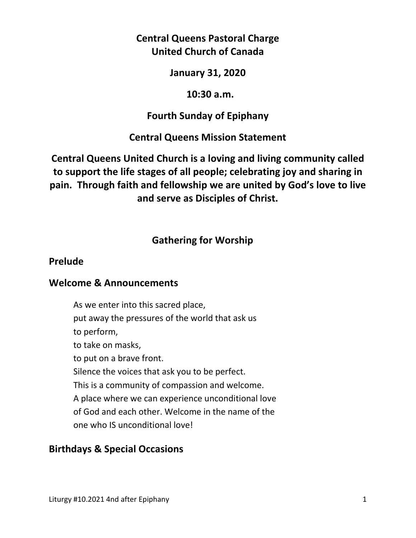# **Central Queens Pastoral Charge United Church of Canada**

### **January 31, 2020**

### **10:30 a.m.**

## **Fourth Sunday of Epiphany**

## **Central Queens Mission Statement**

**Central Queens United Church is a loving and living community called to support the life stages of all people; celebrating joy and sharing in pain. Through faith and fellowship we are united by God's love to live and serve as Disciples of Christ.**

# **Gathering for Worship**

## **Prelude**

#### **Welcome & Announcements**

As we enter into this sacred place, put away the pressures of the world that ask us to perform, to take on masks, to put on a brave front. Silence the voices that ask you to be perfect. This is a community of compassion and welcome. A place where we can experience unconditional love of God and each other. Welcome in the name of the one who IS unconditional love!

## **Birthdays & Special Occasions**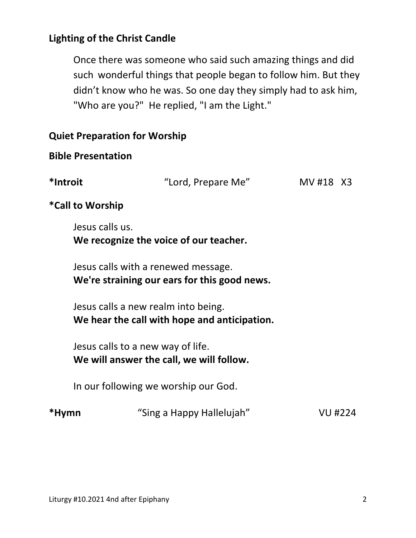## **Lighting of the Christ Candle**

Once there was someone who said such amazing things and did such wonderful things that people began to follow him. But they didn't know who he was. So one day they simply had to ask him, "Who are you?" He replied, "I am the Light."

|          | <b>Quiet Preparation for Worship</b>                                                |                |  |  |  |
|----------|-------------------------------------------------------------------------------------|----------------|--|--|--|
|          | <b>Bible Presentation</b>                                                           |                |  |  |  |
| *Introit | "Lord, Prepare Me"                                                                  | MV #18 X3      |  |  |  |
|          | *Call to Worship                                                                    |                |  |  |  |
|          | Jesus calls us.<br>We recognize the voice of our teacher.                           |                |  |  |  |
|          | Jesus calls with a renewed message.<br>We're straining our ears for this good news. |                |  |  |  |
|          | Jesus calls a new realm into being.<br>We hear the call with hope and anticipation. |                |  |  |  |
|          | Jesus calls to a new way of life.<br>We will answer the call, we will follow.       |                |  |  |  |
|          | In our following we worship our God.                                                |                |  |  |  |
| *Hymn    | "Sing a Happy Hallelujah"                                                           | <b>VU #224</b> |  |  |  |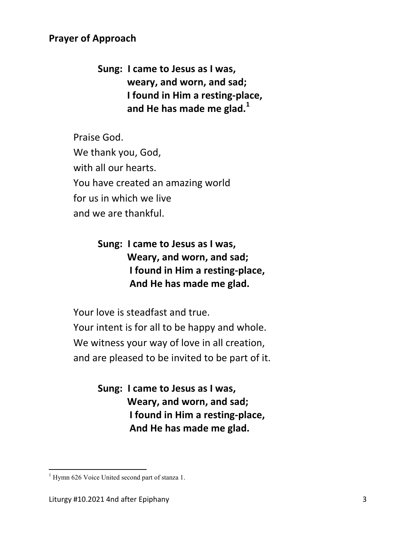## **Prayer of Approach**

 **Sung: I came to Jesus as I was, weary, and worn, and sad; I found in Him a resting-place, and He has made me glad.<sup>1</sup>**

Praise God. We thank you, God, with all our hearts. You have created an amazing world for us in which we live and we are thankful.

> **Sung: I came to Jesus as I was, Weary, and worn, and sad; I found in Him a resting-place, And He has made me glad.**

Your love is steadfast and true. Your intent is for all to be happy and whole. We witness your way of love in all creation, and are pleased to be invited to be part of it.

> **Sung: I came to Jesus as I was, Weary, and worn, and sad; I found in Him a resting-place, And He has made me glad.**

 1 Hymn 626 Voice United second part of stanza 1.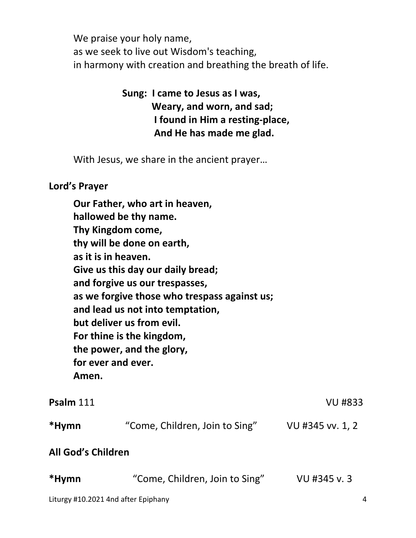We praise your holy name, as we seek to live out Wisdom's teaching, in harmony with creation and breathing the breath of life.

# **Sung: I came to Jesus as I was, Weary, and worn, and sad; I found in Him a resting-place, And He has made me glad.**

With Jesus, we share in the ancient prayer…

## **Lord's Prayer**

**Our Father, who art in heaven, hallowed be thy name. Thy Kingdom come, thy will be done on earth, as it is in heaven. Give us this day our daily bread; and forgive us our trespasses, as we forgive those who trespass against us; and lead us not into temptation, but deliver us from evil. For thine is the kingdom, the power, and the glory, for ever and ever. Amen. Psalm** 111 VU #833

| *Hymn                     | "Come, Children, Join to Sing" | VU #345 vv. 1, 2 |
|---------------------------|--------------------------------|------------------|
| <b>All God's Children</b> |                                |                  |

| *Hymn | "Come, Children, Join to Sing" | VU #345 v.3 |
|-------|--------------------------------|-------------|
|       |                                |             |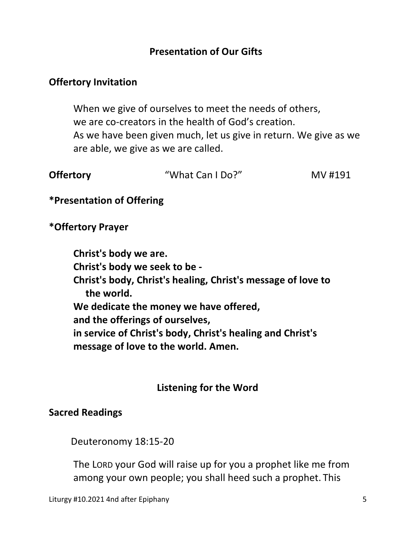## **Presentation of Our Gifts**

### **Offertory Invitation**

When we give of ourselves to meet the needs of others, we are co-creators in the health of God's creation. As we have been given much, let us give in return. We give as we are able, we give as we are called.

| <b>Offertory</b> | "What Can I Do?" | MV #191 |
|------------------|------------------|---------|
|                  |                  |         |

**\*Presentation of Offering** 

**\*Offertory Prayer** 

**Christ's body we are. Christ's body we seek to be - Christ's body, Christ's healing, Christ's message of love to the world. We dedicate the money we have offered, and the offerings of ourselves, in service of Christ's body, Christ's healing and Christ's message of love to the world. Amen.** 

## **Listening for the Word**

#### **Sacred Readings**

Deuteronomy 18:15-20

 The LORD your God will raise up for you a prophet like me from among your own people; you shall heed such a prophet. This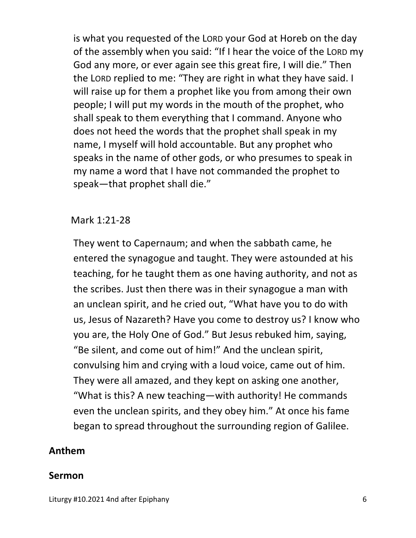is what you requested of the LORD your God at Horeb on the day of the assembly when you said: "If I hear the voice of the LORD my God any more, or ever again see this great fire, I will die." Then the LORD replied to me: "They are right in what they have said. I will raise up for them a prophet like you from among their own people; I will put my words in the mouth of the prophet, who shall speak to them everything that I command. Anyone who does not heed the words that the prophet shall speak in my name, I myself will hold accountable. But any prophet who speaks in the name of other gods, or who presumes to speak in my name a word that I have not commanded the prophet to speak—that prophet shall die."

#### Mark 1:21-28

They went to Capernaum; and when the sabbath came, he entered the synagogue and taught. They were astounded at his teaching, for he taught them as one having authority, and not as the scribes. Just then there was in their synagogue a man with an unclean spirit, and he cried out, "What have you to do with us, Jesus of Nazareth? Have you come to destroy us? I know who you are, the Holy One of God." But Jesus rebuked him, saying, "Be silent, and come out of him!" And the unclean spirit, convulsing him and crying with a loud voice, came out of him. They were all amazed, and they kept on asking one another, "What is this? A new teaching—with authority! He commands even the unclean spirits, and they obey him." At once his fame began to spread throughout the surrounding region of Galilee.

#### **Anthem**

#### **Sermon**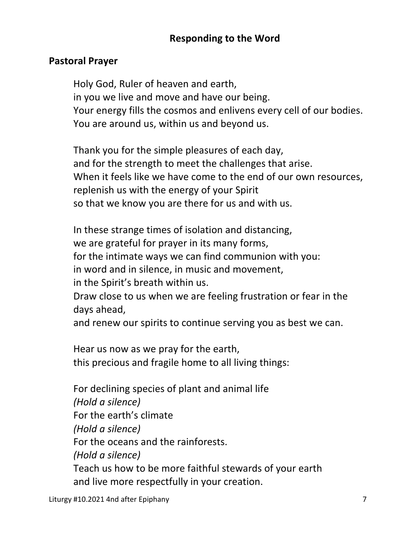# **Responding to the Word**

## **Pastoral Prayer**

Holy God, Ruler of heaven and earth, in you we live and move and have our being. Your energy fills the cosmos and enlivens every cell of our bodies. You are around us, within us and beyond us.

 Thank you for the simple pleasures of each day, and for the strength to meet the challenges that arise. When it feels like we have come to the end of our own resources, replenish us with the energy of your Spirit so that we know you are there for us and with us.

 In these strange times of isolation and distancing, we are grateful for prayer in its many forms, for the intimate ways we can find communion with you: in word and in silence, in music and movement, in the Spirit's breath within us. Draw close to us when we are feeling frustration or fear in the days ahead,

and renew our spirits to continue serving you as best we can.

 Hear us now as we pray for the earth, this precious and fragile home to all living things:

 For declining species of plant and animal life  *(Hold a silence)* For the earth's climate  *(Hold a silence)*  For the oceans and the rainforests.  *(Hold a silence)* Teach us how to be more faithful stewards of your earth and live more respectfully in your creation.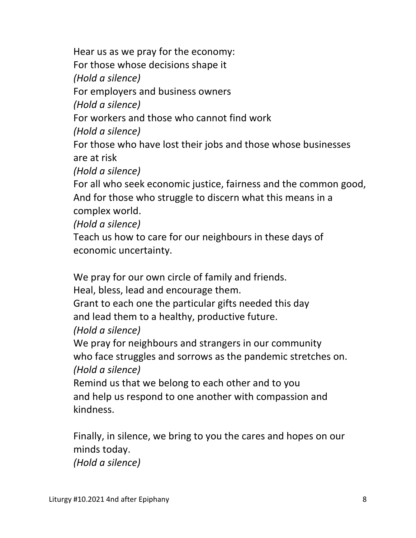Hear us as we pray for the economy: For those whose decisions shape it  *(Hold a silence)* For employers and business owners  *(Hold a silence)* For workers and those who cannot find work  *(Hold a silence)* For those who have lost their jobs and those whose businesses are at risk  *(Hold a silence)* For all who seek economic justice, fairness and the common good, And for those who struggle to discern what this means in a complex world.  *(Hold a silence)* Teach us how to care for our neighbours in these days of

economic uncertainty.

We pray for our own circle of family and friends.

Heal, bless, lead and encourage them.

 Grant to each one the particular gifts needed this day and lead them to a healthy, productive future.

 *(Hold a silence)*

 We pray for neighbours and strangers in our community who face struggles and sorrows as the pandemic stretches on.  *(Hold a silence)*

 Remind us that we belong to each other and to you and help us respond to one another with compassion and kindness.

 Finally, in silence, we bring to you the cares and hopes on our minds today.

 *(Hold a silence)*